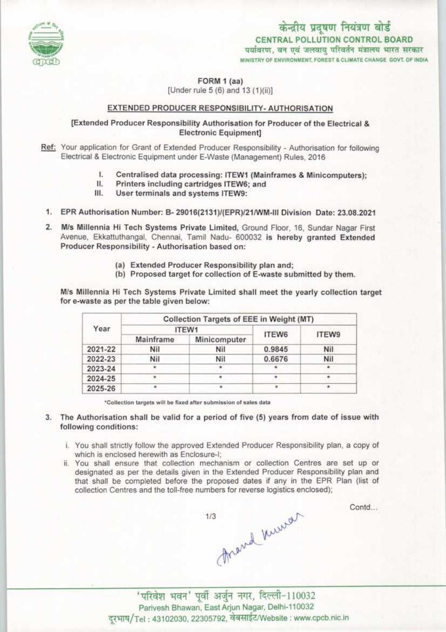

केन्द्रीय प्रदूषण नियंत्रण बोर्ड CENTRAL POLLUTION CONTROL BOARD पर्यावरण, वन एवं जलवायु परिवर्तन मंत्रालय भारत सरकार<br>MINISTRY OF ENVIRONMENT FOREST & CLIMATE CHANGE GOVT OF INDIA

FORM 1 (aa)

[Under rule 5 (6) and 13 (1)(ii)]

#### EXTENDED PRODUCER RESPONSIBILITY- AUTHORISATION

## [Extended Producer Responsibility Authorisation for Producer of the Electrical & **Electronic Equipment1**

Ref: Your application for Grant of Extended Producer Responsibility - Authorisation for following Electrical & Electronic Equipment under E-Waste (Management) Rules, 2016<br>
I. Centralised data processing: ITEW1 (Mainframes & Minicomputers);<br>
II. Printers including cartridges ITEW6: and

- 
- II. Printers including cartridges ITEW6; and<br>III. User terminals and systems ITEW9:
- User terminals and systems ITEW9:
- 1.EPR Authorisation Number: B- 29016{2131)/(EPRy21/WM-lll Division Date: 23.08.2021
- 2.Mis Millennia Hi Tech Systems Private Limited, Ground Floor, 16, Sundar Nagar First Avenue, Ekkattuthangal, Chennai, Tamil Nadu- 600032 is hereby granted Extended Producer Responsibility - Authorisation based on:
	- (a) Extended Producer Responsibility plan and;
	- (b) Proposed target for collection of E-waste submitted by them.

M/s Millennia Hi Tech Systems Private Limited shall meet the yearly collection target for e-waste as per the table given below:

| Year    | Collection Targets of EEE in Weight (MT) |              |        |              |
|---------|------------------------------------------|--------------|--------|--------------|
|         | ITEW1                                    |              | ITEW6  | <b>ITEW9</b> |
|         | Mainframe                                | Minicomputer |        |              |
| 2021-22 | Nil                                      | Nil          | 0.9845 | Nil          |
| 2022-23 | Nil                                      | Nil          | 0.6676 | Nil          |
| 2023-24 | $\star$                                  | ۰            |        |              |
| 2024-25 |                                          |              |        |              |
| 2025-26 | ۰                                        |              |        |              |

\*Collection targets will be fixed after submission of sales data

- 3. The Authorisation shall be valid for a period of five (5) years from date of issue with following conditions:
	- i. You shall strictly follow the approved Extended Producer Responsibility plan, a copy of which is enclosed herewith as Enclosure-I;
	- ii. You shall ensure that collection mechanism or collection Centres are set up or designated as per the details given in the Extended Producer Responsibility plan and that shall be completed before the proposed dates if any in the EPR Plan (list of collection Centres and the toll-free numbers for reverse logistics enclosed);



Contd...

'परिवेश भवन' पूर्वी अर्जुन नगर, दिल्ली-110032 Parivesh Bhawan, EaslArjun Nagar, Delhi-110032 दरभाष/Tel: 43102030, 22305792, वेबसाईट/Website : www.cpcb.nic.in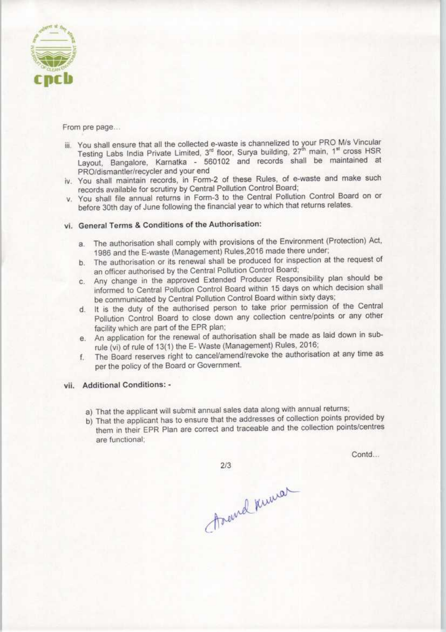

- From pre page...<br>iii. You shall ensure that all the collected e-waste is channelized to your PRO M/s Vincular<br>Testing Labs India Private Limited, 3<sup>rd</sup> floor, Surya building, 27<sup>th</sup> main, 1<sup>st</sup> cross HS<br>Layout, Bangalore, Layout, Bangalore, Kamatka - 560102 and records shall be maintained at PRO/dismantler/recyder and your end
- iv. You shall maintain records, in Form-2 of these Rules, of e-waste and make such records available for scrutiny by Central Pollution Control Board;
- v. You shall file annual returns in Form-3 to the Central Pollution Control Board on or before 30th day of June following the financial year to which that returns relates.

## vl. General Terms & Conditions of the Authorisation:

- a. The authorisation shall comply with provisions of the Environment (Protection) Act, 1986 and the E-waste (Management) Rules,2016 made there under;
- b. The authorisation or its renewal shall be produced for inspection at the request of an officer authorised by the Central Pollution Control Board;
- c.Any change in the approved Extended Producer Responsibility plan should be informed to Central Pollution Control Board within 15 days on which decision shall be communicated by Central Pollution Control Board within sixty days;
- d. It is the duty of the authorised person to take prior permission of the Central Pollution Control Board to close down any collection centre/points or any other facility which are part of the EPR plan;
- e.An application for the renewal of authorisation shall be made aslaid down in subrule (vi) of rule of 13(1) the E- Waste (Management) Rules, 2016;
- f.The Board reserves right to cancel/amend/revoke the authorisation at any time as per the policy of the Board or Government.

#### vil. Additional Conditions: •

- a) That the applicant will submit annual sales data along with annual returns;
- b)That the applicant has to ensure that the addresses of collection points provided by them in their EPR Plan are correct and traceable and the collection points/centres are functional;

Contd...

 $2/3$ 

Ascend Knural